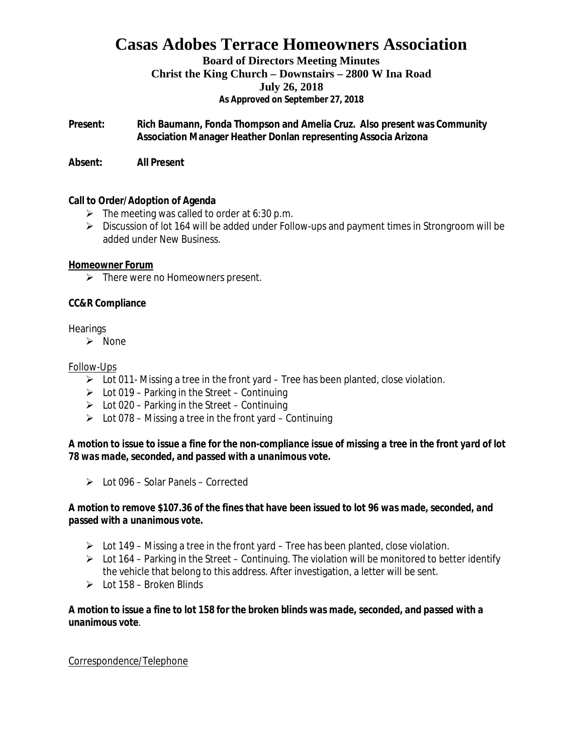#### **Board of Directors Meeting Minutes**

**Christ the King Church – Downstairs – 2800 W Ina Road**

#### **July 26, 2018**

**As Approved on September 27, 2018**

**Present: Rich Baumann, Fonda Thompson and Amelia Cruz. Also present was Community Association Manager Heather Donlan representing Associa Arizona**

**Absent: All Present**

#### **Call to Order/Adoption of Agenda**

- $\triangleright$  The meeting was called to order at 6:30 p.m.
- Ø Discussion of lot 164 will be added under Follow-ups and payment times in Strongroom will be added under New Business.

**Homeowner Forum**

 $\triangleright$  There were no Homeowners present.

### **CC&R Compliance**

### **Hearings**

 $\triangleright$  None

### Follow-Ups

- $\triangleright$  Lot 011- Missing a tree in the front yard Tree has been planted, close violation.
- $\triangleright$  Lot 019 Parking in the Street Continuing
- $\triangleright$  Lot 020 Parking in the Street Continuing
- $\triangleright$  Lot 078 Missing a tree in the front yard Continuing

*A motion to issue to issue a fine for the non-compliance issue of missing a tree in the front yard of lot 78 was made, seconded, and passed with a unanimous vote.*

 $\geq$  Lot 096 – Solar Panels – Corrected

*A motion to remove \$107.36 of the fines that have been issued to lot 96 was made, seconded, and passed with a unanimous vote.*

- $\triangleright$  Lot 149 Missing a tree in the front yard Tree has been planted, close violation.
- $\triangleright$  Lot 164 Parking in the Street Continuing. The violation will be monitored to better identify the vehicle that belong to this address. After investigation, a letter will be sent.
- $\geq$  Lot 158 Broken Blinds

*A motion to issue a fine to lot 158 for the broken blinds was made, seconded, and passed with a unanimous vote*.

#### Correspondence/Telephone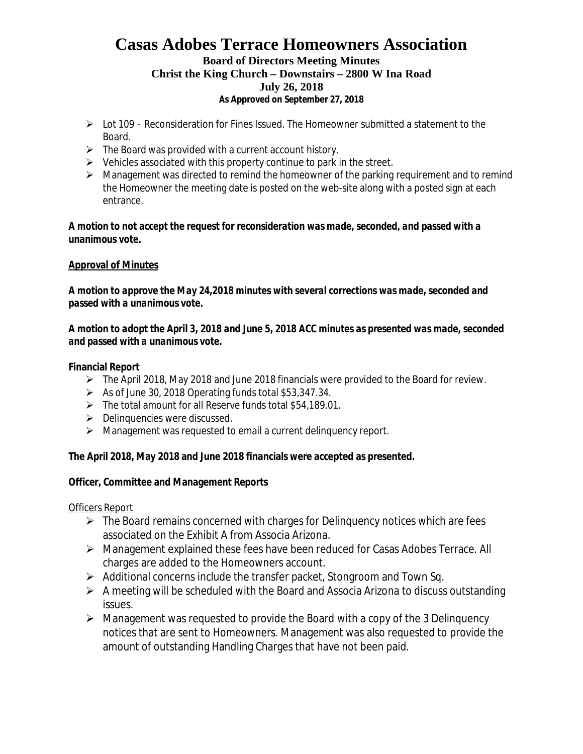## **Board of Directors Meeting Minutes**

#### **Christ the King Church – Downstairs – 2800 W Ina Road**

#### **July 26, 2018**

**As Approved on September 27, 2018**

- $\triangleright$  Lot 109 Reconsideration for Fines Issued. The Homeowner submitted a statement to the Board.
- $\triangleright$  The Board was provided with a current account history.
- $\triangleright$  Vehicles associated with this property continue to park in the street.
- $\triangleright$  Management was directed to remind the homeowner of the parking requirement and to remind the Homeowner the meeting date is posted on the web-site along with a posted sign at each entrance.

*A motion to not accept the request for reconsideration was made, seconded, and passed with a unanimous vote.*

## **Approval of Minutes**

*A motion to approve the May 24,2018 minutes with several corrections was made, seconded and passed with a unanimous vote.*

*A motion to adopt the April 3, 2018 and June 5, 2018 ACC minutes as presented was made, seconded and passed with a unanimous vote.*

**Financial Report**

- $\triangleright$  The April 2018, May 2018 and June 2018 financials were provided to the Board for review.
- $\triangleright$  As of June 30, 2018 Operating funds total \$53,347.34.
- $\triangleright$  The total amount for all Reserve funds total \$54,189.01.
- $\triangleright$  Delinquencies were discussed.
- $\triangleright$  Management was requested to email a current delinguency report.

**The April 2018, May 2018 and June 2018 financials were accepted as presented.**

**Officer, Committee and Management Reports**

Officers Report

- $\triangleright$  The Board remains concerned with charges for Delinguency notices which are fees associated on the Exhibit A from Associa Arizona.
- Ø Management explained these fees have been reduced for Casas Adobes Terrace. All charges are added to the Homeowners account.
- $\triangleright$  Additional concerns include the transfer packet, Stongroom and Town Sq.
- $\triangleright$  A meeting will be scheduled with the Board and Associa Arizona to discuss outstanding issues.
- $\triangleright$  Management was requested to provide the Board with a copy of the 3 Delinguency notices that are sent to Homeowners. Management was also requested to provide the amount of outstanding Handling Charges that have not been paid.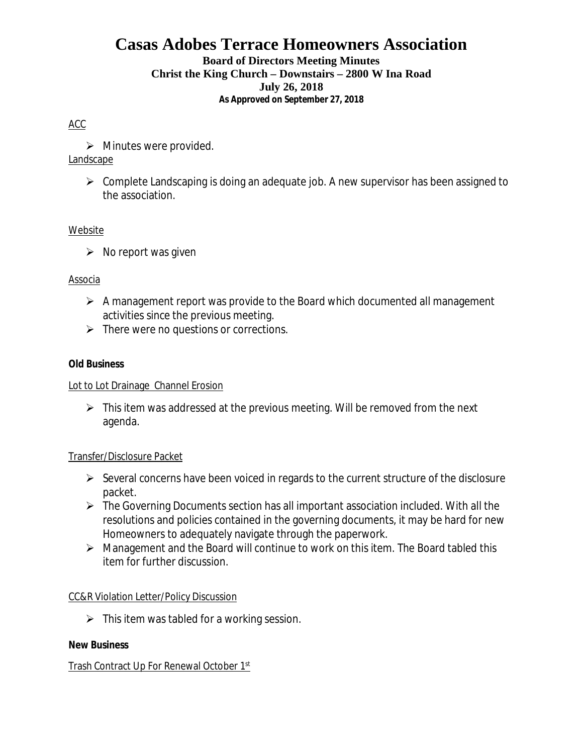### **Board of Directors Meeting Minutes**

### **Christ the King Church – Downstairs – 2800 W Ina Road**

#### **July 26, 2018**

**As Approved on September 27, 2018**

## ACC

 $\triangleright$  Minutes were provided.

## Landscape

 $\triangleright$  Complete Landscaping is doing an adequate job. A new supervisor has been assigned to the association.

## Website

 $\triangleright$  No report was given

## Associa

- $\triangleright$  A management report was provide to the Board which documented all management activities since the previous meeting.
- $\triangleright$  There were no questions or corrections.

## **Old Business**

## Lot to Lot Drainage Channel Erosion

 $\triangleright$  This item was addressed at the previous meeting. Will be removed from the next agenda.

## Transfer/Disclosure Packet

- $\triangleright$  Several concerns have been voiced in regards to the current structure of the disclosure packet.
- $\triangleright$  The Governing Documents section has all important association included. With all the resolutions and policies contained in the governing documents, it may be hard for new Homeowners to adequately navigate through the paperwork.
- $\triangleright$  Management and the Board will continue to work on this item. The Board tabled this item for further discussion.

## CC&R Violation Letter/Policy Discussion

 $\triangleright$  This item was tabled for a working session.

## **New Business**

## Trash Contract Up For Renewal October 1st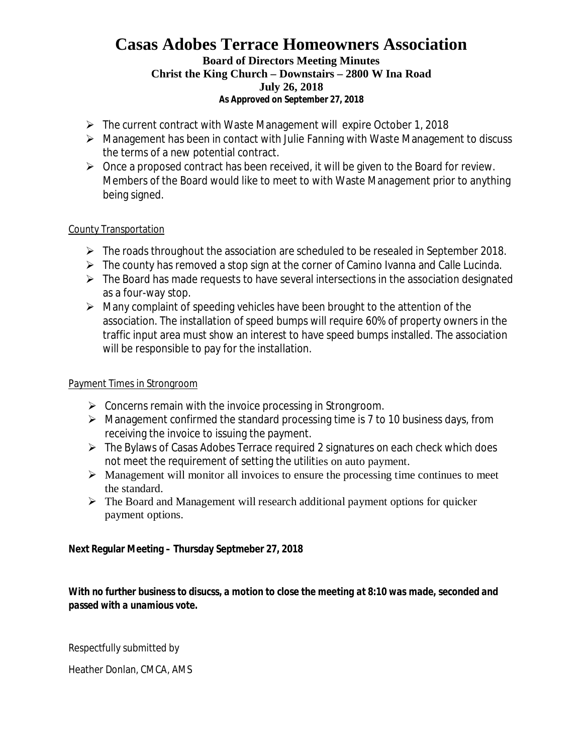#### **Board of Directors Meeting Minutes**

## **Christ the King Church – Downstairs – 2800 W Ina Road**

## **July 26, 2018**

**As Approved on September 27, 2018**

- $\triangleright$  The current contract with Waste Management will expire October 1, 2018
- $\triangleright$  Management has been in contact with Julie Fanning with Waste Management to discuss the terms of a new potential contract.
- $\triangleright$  Once a proposed contract has been received, it will be given to the Board for review. Members of the Board would like to meet to with Waste Management prior to anything being signed.

## County Transportation

- $\triangleright$  The roads throughout the association are scheduled to be resealed in September 2018.
- $\triangleright$  The county has removed a stop sign at the corner of Camino Ivanna and Calle Lucinda.
- $\triangleright$  The Board has made requests to have several intersections in the association designated as a four-way stop.
- $\triangleright$  Many complaint of speeding vehicles have been brought to the attention of the association. The installation of speed bumps will require 60% of property owners in the traffic input area must show an interest to have speed bumps installed. The association will be responsible to pay for the installation.

## Payment Times in Strongroom

- $\triangleright$  Concerns remain with the invoice processing in Strongroom.
- $\triangleright$  Management confirmed the standard processing time is 7 to 10 business days, from receiving the invoice to issuing the payment.
- $\triangleright$  The Bylaws of Casas Adobes Terrace required 2 signatures on each check which does not meet the requirement of setting the utilities on auto payment.
- $\triangleright$  Management will monitor all invoices to ensure the processing time continues to meet the standard.
- $\triangleright$  The Board and Management will research additional payment options for quicker payment options.

**Next Regular Meeting – Thursday Septmeber 27, 2018**

*With no further business to disucss, a motion to close the meeting at 8:10 was made, seconded and passed with a unamious vote.*

Respectfully submitted by

Heather Donlan, CMCA, AMS